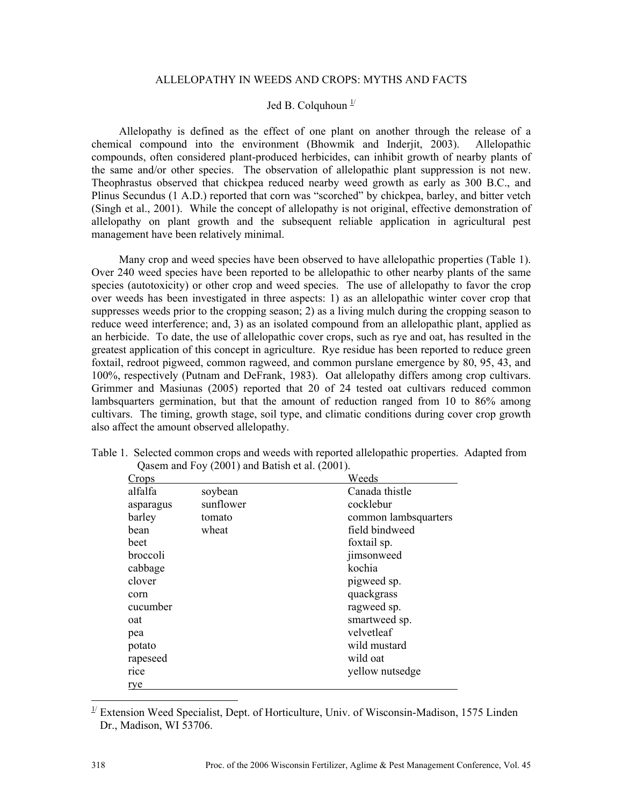## ALLELOPATHY IN WEEDS AND CROPS: MYTHS AND FACTS

## Jed B. Colquhoun  $\frac{1}{l}$

Allelopathy is defined as the effect of one plant on another through the release of a chemical compound into the environment (Bhowmik and Inderjit, 2003). Allelopathic compounds, often considered plant-produced herbicides, can inhibit growth of nearby plants of the same and/or other species. The observation of allelopathic plant suppression is not new. Theophrastus observed that chickpea reduced nearby weed growth as early as 300 B.C., and Plinus Secundus (1 A.D.) reported that corn was "scorched" by chickpea, barley, and bitter vetch (Singh et al., 2001). While the concept of allelopathy is not original, effective demonstration of allelopathy on plant growth and the subsequent reliable application in agricultural pest management have been relatively minimal.

Many crop and weed species have been observed to have allelopathic properties (Table 1). Over 240 weed species have been reported to be allelopathic to other nearby plants of the same species (autotoxicity) or other crop and weed species. The use of allelopathy to favor the crop over weeds has been investigated in three aspects: 1) as an allelopathic winter cover crop that suppresses weeds prior to the cropping season; 2) as a living mulch during the cropping season to reduce weed interference; and, 3) as an isolated compound from an allelopathic plant, applied as an herbicide. To date, the use of allelopathic cover crops, such as rye and oat, has resulted in the greatest application of this concept in agriculture. Rye residue has been reported to reduce green foxtail, redroot pigweed, common ragweed, and common purslane emergence by 80, 95, 43, and 100%, respectively (Putnam and DeFrank, 1983). Oat allelopathy differs among crop cultivars. Grimmer and Masiunas (2005) reported that 20 of 24 tested oat cultivars reduced common lambsquarters germination, but that the amount of reduction ranged from 10 to 86% among cultivars. The timing, growth stage, soil type, and climatic conditions during cover crop growth also affect the amount observed allelopathy.

| Crops     |           | Weeds                |
|-----------|-----------|----------------------|
| alfalfa   | soybean   | Canada thistle       |
| asparagus | sunflower | cocklebur            |
| barley    | tomato    | common lambsquarters |
| bean      | wheat     | field bindweed       |
| beet      |           | foxtail sp.          |
| broccoli  |           | jimsonweed           |
| cabbage   |           | kochia               |
| clover    |           | pigweed sp.          |
| corn      |           | quackgrass           |
| cucumber  |           | ragweed sp.          |
| oat       |           | smartweed sp.        |
| pea       |           | velvetleaf           |
| potato    |           | wild mustard         |
| rapeseed  |           | wild oat             |
| rice      |           | yellow nutsedge      |
| rye       |           |                      |

Table 1. Selected common crops and weeds with reported allelopathic properties. Adapted from Qasem and Foy (2001) and Batish et al. (2001).

<sup>&</sup>lt;sup>1/</sup> Extension Weed Specialist, Dept. of Horticulture, Univ. of Wisconsin-Madison, 1575 Linden Dr., Madison, WI 53706.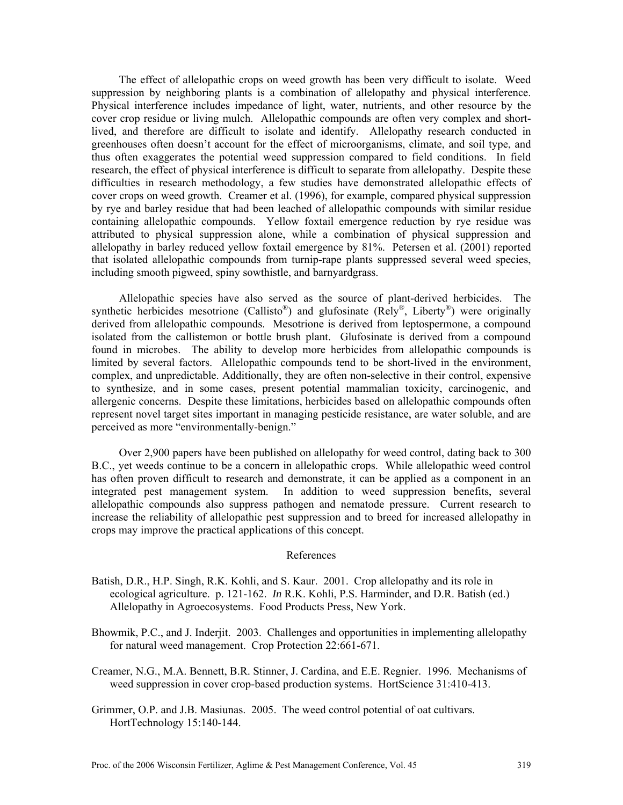The effect of allelopathic crops on weed growth has been very difficult to isolate. Weed suppression by neighboring plants is a combination of allelopathy and physical interference. Physical interference includes impedance of light, water, nutrients, and other resource by the cover crop residue or living mulch. Allelopathic compounds are often very complex and shortlived, and therefore are difficult to isolate and identify. Allelopathy research conducted in greenhouses often doesn't account for the effect of microorganisms, climate, and soil type, and thus often exaggerates the potential weed suppression compared to field conditions. In field research, the effect of physical interference is difficult to separate from allelopathy. Despite these difficulties in research methodology, a few studies have demonstrated allelopathic effects of cover crops on weed growth. Creamer et al. (1996), for example, compared physical suppression by rye and barley residue that had been leached of allelopathic compounds with similar residue containing allelopathic compounds. Yellow foxtail emergence reduction by rye residue was attributed to physical suppression alone, while a combination of physical suppression and allelopathy in barley reduced yellow foxtail emergence by 81%. Petersen et al. (2001) reported that isolated allelopathic compounds from turnip-rape plants suppressed several weed species, including smooth pigweed, spiny sowthistle, and barnyardgrass.

Allelopathic species have also served as the source of plant-derived herbicides. The synthetic herbicides mesotrione (Callisto®) and glufosinate (Rely®, Liberty®) were originally derived from allelopathic compounds. Mesotrione is derived from leptospermone, a compound isolated from the callistemon or bottle brush plant. Glufosinate is derived from a compound found in microbes. The ability to develop more herbicides from allelopathic compounds is limited by several factors. Allelopathic compounds tend to be short-lived in the environment, complex, and unpredictable. Additionally, they are often non-selective in their control, expensive to synthesize, and in some cases, present potential mammalian toxicity, carcinogenic, and allergenic concerns. Despite these limitations, herbicides based on allelopathic compounds often represent novel target sites important in managing pesticide resistance, are water soluble, and are perceived as more "environmentally-benign."

Over 2,900 papers have been published on allelopathy for weed control, dating back to 300 B.C., yet weeds continue to be a concern in allelopathic crops. While allelopathic weed control has often proven difficult to research and demonstrate, it can be applied as a component in an integrated pest management system. In addition to weed suppression benefits, several allelopathic compounds also suppress pathogen and nematode pressure. Current research to increase the reliability of allelopathic pest suppression and to breed for increased allelopathy in crops may improve the practical applications of this concept.

## References

- Batish, D.R., H.P. Singh, R.K. Kohli, and S. Kaur. 2001. Crop allelopathy and its role in ecological agriculture. p. 121-162. *In* R.K. Kohli, P.S. Harminder, and D.R. Batish (ed.) Allelopathy in Agroecosystems. Food Products Press, New York.
- Bhowmik, P.C., and J. Inderjit. 2003. Challenges and opportunities in implementing allelopathy for natural weed management. Crop Protection 22:661-671.
- Creamer, N.G., M.A. Bennett, B.R. Stinner, J. Cardina, and E.E. Regnier. 1996. Mechanisms of weed suppression in cover crop-based production systems. HortScience 31:410-413.
- Grimmer, O.P. and J.B. Masiunas. 2005. The weed control potential of oat cultivars. HortTechnology 15:140-144.